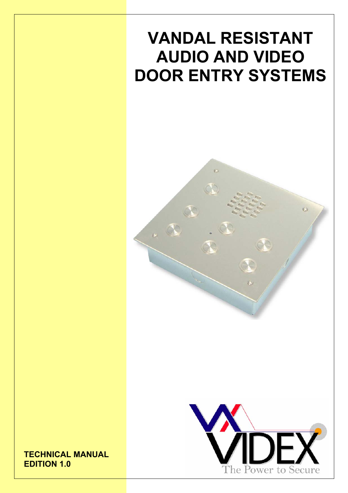# **VANDAL RESISTANT AUDIO AND VIDEO DOOR ENTRY SYSTEMS**

C.



**TECHNICAL MANUAL EDITION 1.0**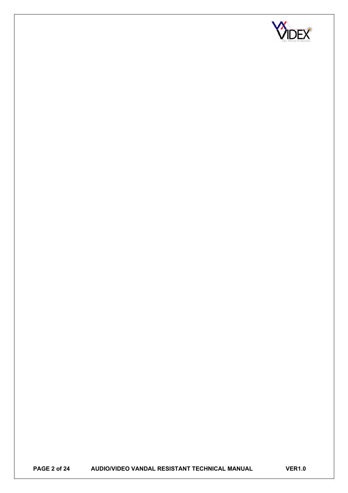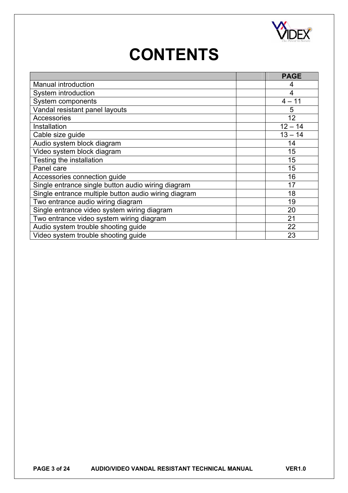

# **CONTENTS**

|                                                      | <b>PAGE</b> |
|------------------------------------------------------|-------------|
| Manual introduction                                  | 4           |
| System introduction                                  | 4           |
| System components                                    | $4 - 11$    |
| Vandal resistant panel layouts                       | 5           |
| <b>Accessories</b>                                   | 12          |
| Installation                                         | $12 - 14$   |
| Cable size guide                                     | $13 - 14$   |
| Audio system block diagram                           | 14          |
| Video system block diagram                           | 15          |
| Testing the installation                             | 15          |
| Panel care                                           | 15          |
| Accessories connection guide                         | 16          |
| Single entrance single button audio wiring diagram   | 17          |
| Single entrance multiple button audio wiring diagram | 18          |
| Two entrance audio wiring diagram                    | 19          |
| Single entrance video system wiring diagram          | 20          |
| Two entrance video system wiring diagram             | 21          |
| Audio system trouble shooting guide                  | 22          |
| Video system trouble shooting guide                  | 23          |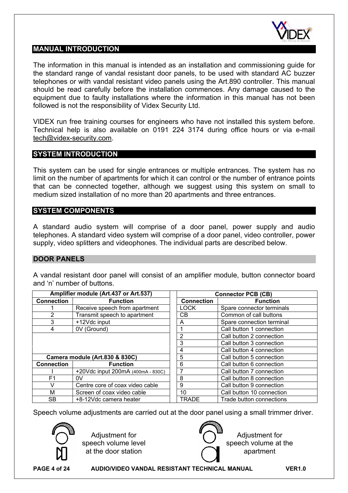

# **MANUAL INTRODUCTION**

The information in this manual is intended as an installation and commissioning guide for the standard range of vandal resistant door panels, to be used with standard AC buzzer telephones or with vandal resistant video panels using the Art.890 controller. This manual should be read carefully before the installation commences. Any damage caused to the equipment due to faulty installations where the information in this manual has not been followed is not the responsibility of Videx Security Ltd.

VIDEX run free training courses for engineers who have not installed this system before. Technical help is also available on 0191 224 3174 during office hours or via e-mail tech@videx-security.com.

# **SYSTEM INTRODUCTION**

This system can be used for single entrances or multiple entrances. The system has no limit on the number of apartments for which it can control or the number of entrance points that can be connected together, although we suggest using this system on small to medium sized installation of no more than 20 apartments and three entrances.

# **SYSTEM COMPONENTS**

A standard audio system will comprise of a door panel, power supply and audio telephones. A standard video system will comprise of a door panel, video controller, power supply, video splitters and videophones. The individual parts are described below.

# **DOOR PANELS**

A vandal resistant door panel will consist of an amplifier module, button connector board and 'n' number of buttons.

| Amplifier module (Art.437 or Art.537) |                                   | <b>Connector PCB (CB)</b> |                           |
|---------------------------------------|-----------------------------------|---------------------------|---------------------------|
| <b>Connection</b>                     | <b>Function</b>                   | <b>Connection</b>         | <b>Function</b>           |
|                                       | Receive speech from apartment     | <b>LOCK</b>               | Spare connector terminals |
| 2                                     | Transmit speech to apartment      | CВ                        | Common of call buttons    |
|                                       | +12Vdc input                      | Α                         | Spare connection terminal |
| 4                                     | 0V (Ground)                       |                           | Call button 1 connection  |
|                                       |                                   | 2                         | Call button 2 connection  |
|                                       |                                   | 3                         | Call button 3 connection  |
|                                       |                                   | 4                         | Call button 4 connection  |
| Camera module (Art.830 & 830C)        |                                   | 5                         | Call button 5 connection  |
| <b>Connection</b>                     | <b>Function</b>                   | 6                         | Call button 6 connection  |
|                                       | +20Vdc input 200mA (400mA - 830C) |                           | Call button 7 connection  |
| F <sub>1</sub>                        | 0V                                | 8                         | Call button 8 connection  |
|                                       | Centre core of coax video cable   | 9                         | Call button 9 connection  |
| M                                     | Screen of coax video cable        | 10                        | Call button 10 connection |
| <b>SB</b>                             | +8-12Vdc camera heater            | <b>TRADE</b>              | Trade button connections  |

Speech volume adjustments are carried out at the door panel using a small trimmer driver.



Adjustment for speech volume level at the door station



Adjustment for speech volume at the apartment

**PAGE 4 of 24 AUDIO/VIDEO VANDAL RESISTANT TECHNICAL MANUAL VER1.0**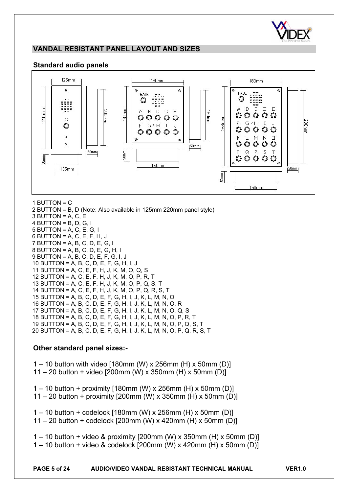

# **VANDAL RESISTANT PANEL LAYOUT AND SIZES**

#### **Standard audio panels**



1 BUTTON = C 2 BUTTON = B, D (Note: Also available in 125mm 220mm panel style)  $3$  BUTTON = A, C, E  $4$  BUTTON = B, D, G, I 5 BUTTON = A, C, E, G, I  $6$  BUTTON = A, C, E, F, H, J 7 BUTTON = A, B, C, D, E, G, I 8 BUTTON = A, B, C, D, E, G, H, I 9 BUTTON = A, B, C, D, E, F, G, I, J 10 BUTTON = A, B, C, D, E, F, G, H, I, J 11 BUTTON = A, C, E, F, H, J, K, M, O, Q, S 12 BUTTON = A, C, E, F, H, J, K, M, O, P, R, T 13 BUTTON = A, C, E, F, H, J, K, M, O, P, Q, S, T 14 BUTTON = A, C, E, F, H, J, K, M, O, P, Q, R, S, T 15 BUTTON = A, B, C, D, E, F, G, H, I, J, K, L, M, N, O 16 BUTTON = A, B, C, D, E, F, G, H, I, J, K, L, M, N, O, R 17 BUTTON = A, B, C, D, E, F, G, H, I, J, K, L, M, N, O, Q, S 18 BUTTON = A, B, C, D, E, F, G, H, I, J, K, L, M, N, O, P, R, T 19 BUTTON = A, B, C, D, E, F, G, H, I, J, K, L, M, N, O, P, Q, S, T 20 BUTTON = A, B, C, D, E, F, G, H, I, J, K, L, M, N, O, P, Q, R, S, T

#### **Other standard panel sizes:-**

1 – 10 button with video [180mm (W) x 256mm (H) x 50mm (D)] 11 – 20 button + video [200mm (W) x 350mm (H) x 50mm (D)]

1 – 10 button + proximity [180mm (W) x 256mm (H) x 50mm (D)] 11 – 20 button + proximity [200mm (W) x 350mm (H) x 50mm (D)]

1 – 10 button + codelock [180mm (W) x 256mm (H) x 50mm (D)] 11 – 20 button + codelock [200mm (W) x 420mm (H) x 50mm (D)]

1 – 10 button + video & proximity  $[200\text{mm (W)} \times 350\text{mm (H)} \times 50\text{mm (D)}]$ 1 – 10 button + video & codelock [200mm (W) x 420mm (H) x 50mm (D)]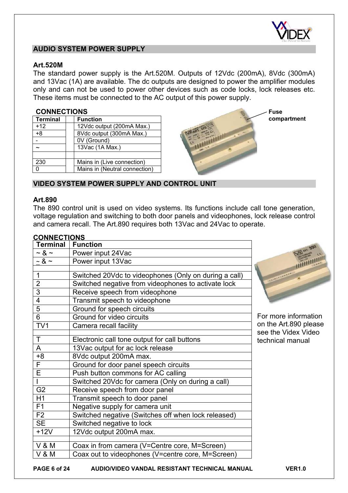

#### **AUDIO SYSTEM POWER SUPPLY**

#### **Art.520M**

The standard power supply is the Art.520M. Outputs of 12Vdc (200mA), 8Vdc (300mA) and 13Vac (1A) are available. The dc outputs are designed to power the amplifier modules only and can not be used to power other devices such as code locks, lock releases etc. These items must be connected to the AC output of this power supply.

#### **CONNECTIONS**

| <b>Terminal</b> | <b>Function</b>               |
|-----------------|-------------------------------|
| $+12$           | 12Vdc output (200mA Max.)     |
| +8              | 8Vdc output (300mA Max.)      |
|                 | 0V (Ground)                   |
|                 | 13Vac (1A Max.)               |
|                 |                               |
| 230             | Mains in (Live connection)    |
|                 | Mains in (Neutral connection) |



**Fuse compartment** 

# **VIDEO SYSTEM POWER SUPPLY AND CONTROL UNIT**

#### **Art.890**

The 890 control unit is used on video systems. Its functions include call tone generation, voltage regulation and switching to both door panels and videophones, lock release control and camera recall. The Art.890 requires both 13Vac and 24Vac to operate.

# **CONNECTIONS**

| <b>Function</b>                                   |                                                                                                                                                                                                                                                                                                                                                                                                                                                                                                  |
|---------------------------------------------------|--------------------------------------------------------------------------------------------------------------------------------------------------------------------------------------------------------------------------------------------------------------------------------------------------------------------------------------------------------------------------------------------------------------------------------------------------------------------------------------------------|
| Power input 24Vac                                 |                                                                                                                                                                                                                                                                                                                                                                                                                                                                                                  |
| Power input 13Vac                                 |                                                                                                                                                                                                                                                                                                                                                                                                                                                                                                  |
|                                                   |                                                                                                                                                                                                                                                                                                                                                                                                                                                                                                  |
|                                                   |                                                                                                                                                                                                                                                                                                                                                                                                                                                                                                  |
|                                                   |                                                                                                                                                                                                                                                                                                                                                                                                                                                                                                  |
|                                                   |                                                                                                                                                                                                                                                                                                                                                                                                                                                                                                  |
|                                                   |                                                                                                                                                                                                                                                                                                                                                                                                                                                                                                  |
| Ground for speech circuits                        |                                                                                                                                                                                                                                                                                                                                                                                                                                                                                                  |
| Ground for video circuits                         | For m                                                                                                                                                                                                                                                                                                                                                                                                                                                                                            |
| Camera recall facility                            | on the                                                                                                                                                                                                                                                                                                                                                                                                                                                                                           |
|                                                   | see th                                                                                                                                                                                                                                                                                                                                                                                                                                                                                           |
|                                                   | techni                                                                                                                                                                                                                                                                                                                                                                                                                                                                                           |
|                                                   |                                                                                                                                                                                                                                                                                                                                                                                                                                                                                                  |
|                                                   |                                                                                                                                                                                                                                                                                                                                                                                                                                                                                                  |
| Ground for door panel speech circuits             |                                                                                                                                                                                                                                                                                                                                                                                                                                                                                                  |
| Push button commons for AC calling                |                                                                                                                                                                                                                                                                                                                                                                                                                                                                                                  |
| Switched 20Vdc for camera (Only on during a call) |                                                                                                                                                                                                                                                                                                                                                                                                                                                                                                  |
| Receive speech from door panel                    |                                                                                                                                                                                                                                                                                                                                                                                                                                                                                                  |
| Transmit speech to door panel                     |                                                                                                                                                                                                                                                                                                                                                                                                                                                                                                  |
|                                                   |                                                                                                                                                                                                                                                                                                                                                                                                                                                                                                  |
|                                                   |                                                                                                                                                                                                                                                                                                                                                                                                                                                                                                  |
|                                                   |                                                                                                                                                                                                                                                                                                                                                                                                                                                                                                  |
|                                                   |                                                                                                                                                                                                                                                                                                                                                                                                                                                                                                  |
|                                                   |                                                                                                                                                                                                                                                                                                                                                                                                                                                                                                  |
|                                                   |                                                                                                                                                                                                                                                                                                                                                                                                                                                                                                  |
| Coax out to videophones (V=centre core, M=Screen) |                                                                                                                                                                                                                                                                                                                                                                                                                                                                                                  |
|                                                   | Switched 20Vdc to videophones (Only on during a call)<br>Switched negative from videophones to activate lock<br>Receive speech from videophone<br>Transmit speech to videophone<br>Electronic call tone output for call buttons<br>13Vac output for ac lock release<br>8Vdc output 200mA max.<br>Negative supply for camera unit<br>Switched negative (Switches off when lock released)<br>Switched negative to lock<br>12Vdc output 200mA max.<br>Coax in from camera (V=Centre core, M=Screen) |



ore information Art.890 please e Videx Video cal manual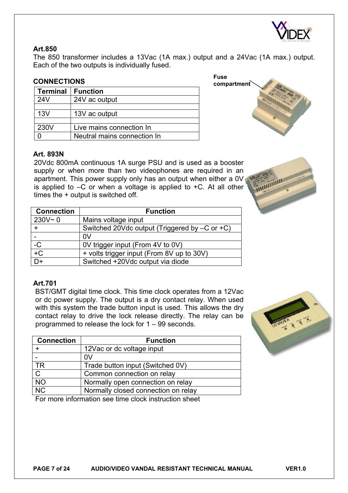

# **Art.850**

The 850 transformer includes a 13Vac (1A max.) output and a 24Vac (1A max.) output. Each of the two outputs is individually fused.

### **CONNECTIONS**

| <b>Terminal   Function</b> |                             |
|----------------------------|-----------------------------|
| 24V                        | 24V ac output               |
|                            |                             |
| 13V                        | 13V ac output               |
|                            |                             |
| 230V                       | Live mains connection In    |
|                            | Neutral mains connection In |

# **Art. 893N**

20Vdc 800mA continuous 1A surge PSU and is used as a booster supply or when more than two videophones are required in an apartment. This power supply only has an output when either a 0V is applied to  $-C$  or when a voltage is applied to  $+C$ . At all other times the + output is switched off.

| <b>Connection</b> | <b>Function</b>                               |
|-------------------|-----------------------------------------------|
| $230V - 0$        | Mains voltage input                           |
|                   | Switched 20Vdc output (Triggered by –C or +C) |
|                   | 0V                                            |
| $-C$              | 0V trigger input (From 4V to 0V)              |
| $+C$              | + volts trigger input (From 8V up to 30V)     |
| $\overline{D+}$   | Switched +20Vdc output via diode              |

# **Art.701**

BST/GMT digital time clock. This time clock operates from a 12Vac or dc power supply. The output is a dry contact relay. When used with this system the trade button input is used. This allows the dry contact relay to drive the lock release directly. The relay can be programmed to release the lock for 1 – 99 seconds.

| <b>Connection</b> | <b>Function</b>                     |
|-------------------|-------------------------------------|
|                   | 12Vac or dc voltage input           |
|                   | 0V                                  |
| <b>TR</b>         | Trade button input (Switched 0V)    |
| $\mathsf{C}$      | Common connection on relay          |
| <b>NO</b>         | Normally open connection on relay   |
| <b>NC</b>         | Normally closed connection on relay |

For more information see time clock instruction sheet







**Fuse** 

**compartment**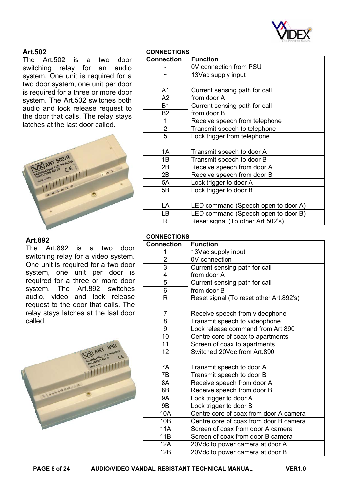

#### **Art.502**

The Art.502 is a two door switching relay for an audio system. One unit is required for a two door system, one unit per door is required for a three or more door system. The Art.502 switches both audio and lock release request to the door that calls. The relay stays latches at the last door called.



#### **Art.892**

The Art.892 is a two door switching relay for a video system. One unit is required for a two door system, one unit per door is required for a three or more door system. The Art.892 switches audio, video and lock release request to the door that calls. The relay stays latches at the last door called.



#### **CONNECTIONS**

| <b>UUITLUTUU</b>  |                                     |  |  |
|-------------------|-------------------------------------|--|--|
| <b>Connection</b> | <b>Function</b>                     |  |  |
|                   | 0V connection from PSU              |  |  |
|                   | 13Vac supply input                  |  |  |
|                   |                                     |  |  |
| A <sub>1</sub>    | Current sensing path for call       |  |  |
| A2                | from door A                         |  |  |
| <b>B1</b>         | Current sensing path for call       |  |  |
| <b>B2</b>         | from door B                         |  |  |
| 1                 | Receive speech from telephone       |  |  |
| $\overline{2}$    | Transmit speech to telephone        |  |  |
| 5                 | Lock trigger from telephone         |  |  |
|                   |                                     |  |  |
| 1A                | Transmit speech to door A           |  |  |
| 1B                | Transmit speech to door B           |  |  |
| 2B                | Receive speech from door A          |  |  |
| 2B                | Receive speech from door B          |  |  |
| 5A                | Lock trigger to door A              |  |  |
| 5Β                | Lock trigger to door B              |  |  |
|                   |                                     |  |  |
| LA                | LED command (Speech open to door A) |  |  |
| LВ                | LED command (Speech open to door B) |  |  |
| R.                | Reset signal (To other Art.502's)   |  |  |
|                   |                                     |  |  |

#### **CONNECTIONS**

| <b>Connection</b> | <b>Function</b>                         |
|-------------------|-----------------------------------------|
|                   | 13Vac supply input                      |
| $\overline{2}$    | 0V connection                           |
| $\overline{3}$    | Current sensing path for call           |
| 4                 | from door A                             |
| 5                 | Current sensing path for call           |
| 6                 | from door B                             |
| R                 | Reset signal (To reset other Art.892's) |
|                   |                                         |
| $\overline{7}$    | Receive speech from videophone          |
| 8                 | Transmit speech to videophone           |
| 9                 | Lock release command from Art.890       |
| 10                | Centre core of coax to apartments       |
| 11                | Screen of coax to apartments            |
| 12                | Switched 20Vdc from Art.890             |
|                   |                                         |
| 7A                | Transmit speech to door A               |
| 7B                | Transmit speech to door B               |
| 8A                | Receive speech from door A              |
| 8B                | Receive speech from door B              |
| <b>9A</b>         | Lock trigger to door A                  |
| 9B                | Lock trigger to door B                  |
| 10A               | Centre core of coax from door A camera  |
| 10B               | Centre core of coax from door B camera  |
| 11A               | Screen of coax from door A camera       |
| 11B               | Screen of coax from door B camera       |
| <b>12A</b>        | 20Vdc to power camera at door A         |
| 12B               | 20Vdc to power camera at door B         |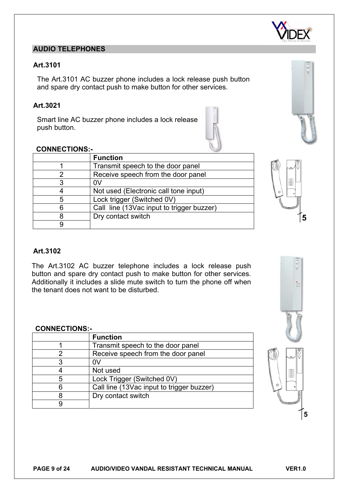# **AUDIO TELEPHONES**

#### **Art.3101**

The Art.3101 AC buzzer phone includes a lock release push button and spare dry contact push to make button for other services.

#### **Art.3021**

Smart line AC buzzer phone includes a lock release push button.



# **CONNECTIONS:-**

|   | <b>Function</b>                           |
|---|-------------------------------------------|
|   | Transmit speech to the door panel         |
|   | Receive speech from the door panel        |
|   | Oν                                        |
|   | Not used (Electronic call tone input)     |
| 5 | Lock trigger (Switched 0V)                |
|   | Call line (13Vac input to trigger buzzer) |
|   | Dry contact switch                        |
|   |                                           |



# **Art.3102**

The Art.3102 AC buzzer telephone includes a lock release push button and spare dry contact push to make button for other services. Additionally it includes a slide mute switch to turn the phone off when the tenant does not want to be disturbed.

#### **CONNECTIONS:-**

|   | <b>Function</b>                           |
|---|-------------------------------------------|
|   | Transmit speech to the door panel         |
|   | Receive speech from the door panel        |
|   | o٧                                        |
|   | Not used                                  |
| 5 | Lock Trigger (Switched 0V)                |
| 6 | Call line (13Vac input to trigger buzzer) |
|   | Dry contact switch                        |
|   |                                           |



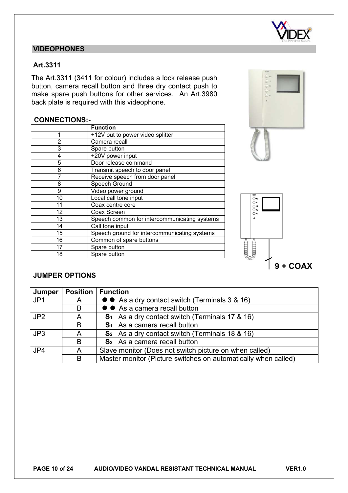

# **VIDEOPHONES**

# **Art.3311**

The Art.3311 (3411 for colour) includes a lock release push button, camera recall button and three dry contact push to make spare push buttons for other services. An Art.3980 back plate is required with this videophone.

# **CONNECTIONS:-**

|    | <b>Function</b>                              |
|----|----------------------------------------------|
| 1  | +12V out to power video splitter             |
| 2  | Camera recall                                |
| 3  | Spare button                                 |
| 4  | +20V power input                             |
| 5  | Door release command                         |
| 6  | Transmit speech to door panel                |
| 7  | Receive speech from door panel               |
| 8  | Speech Ground                                |
| 9  | Video power ground                           |
| 10 | Local call tone input                        |
| 11 | Coax centre core                             |
| 12 | Coax Screen                                  |
| 13 | Speech common for intercommunicating systems |
| 14 | Call tone input                              |
| 15 | Speech ground for intercommunicating systems |
| 16 | Common of spare buttons                      |
| 17 | Spare button                                 |
| 18 | Spare button                                 |





# **JUMPER OPTIONS**

| Jumper          |   | <b>Position   Function</b>                                     |
|-----------------|---|----------------------------------------------------------------|
| JP1             | A | • As a dry contact switch (Terminals 3 & 16)                   |
|                 | B | • As a camera recall button                                    |
| JP2             | A | S <sub>1</sub> As a dry contact switch (Terminals 17 & 16)     |
|                 | B | S <sub>1</sub> As a camera recall button                       |
| JP3             | A | S <sub>2</sub> As a dry contact switch (Terminals 18 & 16)     |
|                 | B | <b>S<sub>2</sub></b> As a camera recall button                 |
| J <sub>P4</sub> | A | Slave monitor (Does not switch picture on when called)         |
|                 | B | Master monitor (Picture switches on automatically when called) |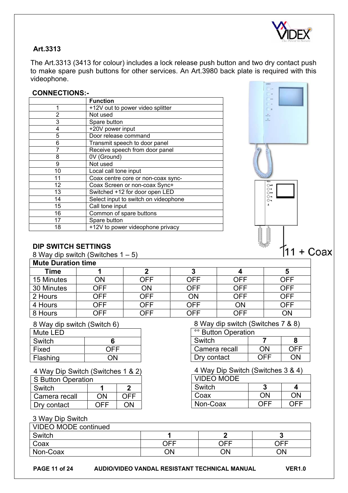

# **Art.3313**

The Art.3313 (3413 for colour) includes a lock release push button and two dry contact push to make spare push buttons for other services. An Art.3980 back plate is required with this videophone.

| <b>CONNECTIONS:-</b> |                                      |  |  |
|----------------------|--------------------------------------|--|--|
|                      | <b>Function</b>                      |  |  |
|                      | +12V out to power video splitter     |  |  |
| 2                    | Not used                             |  |  |
| 3                    | Spare button                         |  |  |
| 4                    | +20V power input                     |  |  |
| 5                    | Door release command                 |  |  |
| 6                    | Transmit speech to door panel        |  |  |
|                      | Receive speech from door panel       |  |  |
| 8                    | 0V (Ground)                          |  |  |
| 9                    | Not used                             |  |  |
| 10                   | Local call tone input                |  |  |
| 11                   | Coax centre core or non-coax sync-   |  |  |
| 12                   | Coax Screen or non-coax Sync+        |  |  |
| 13                   | Switched +12 for door open LED       |  |  |
| 14                   | Select input to switch on videophone |  |  |
| 15                   | Call tone input                      |  |  |
| 16                   | Common of spare buttons              |  |  |
| 17                   | Spare button                         |  |  |
| 18                   | +12V to power videophone privacy     |  |  |



# **DIP SWITCH SETTINGS**

8 Way dip switch (Switches 1 – 5)

# **Mute Duration time**

| Time       |      |     |                |            |            |
|------------|------|-----|----------------|------------|------------|
| 15 Minutes | ΟN   | OFF | $\mathsf{QFF}$ | OFF        | <b>OFF</b> |
| 30 Minutes | OFF  | ΟN  | <b>OFF</b>     | <b>OFF</b> | OFF        |
| 2 Hours    | OFF  | OFF | ΟN             | <b>OFF</b> | OFF        |
| 4 Hours    | OFF  | OFF | OFF            | ON         | OFF        |
| 8 Hours    | OFF. | OFF | OFF            | OFF        | ΟN         |
|            |      |     |                |            |            |

# 8 Way dip switch (Switch 6)

| Mute LED |     |
|----------|-----|
| Switch   | հ   |
| Fixed    | OFF |
| Flashing |     |

4 Way Dip Switch (Switches 1 & 2) S Button Operation Switch **1 2**  Camera recall | ON | OFF Dry contact  $\qquad$  OFF  $\qquad$  ON

8 Way dip switch (Switches 7 & 8)

| <sup>oo</sup> Button Operation |            |     |  |  |
|--------------------------------|------------|-----|--|--|
| Switch                         |            |     |  |  |
| Camera recall                  | OΝ         | OFF |  |  |
| Dry contact                    | <b>OFF</b> |     |  |  |

#### 4 Way Dip Switch (Switches 3 & 4)

| <b>VIDEO MODE</b> |    |     |
|-------------------|----|-----|
| Switch            |    |     |
| Coax              | ON | OΝ  |
| Non-Coax          |    | OFE |

3 Way Dip Switch

| VIDEO MODE continued |     |           |           |
|----------------------|-----|-----------|-----------|
| Switch               |     |           |           |
| Coax                 | NFF | NEE       | ヿFF       |
| Non-Coax             | ОN  | <b>JN</b> | <b>JN</b> |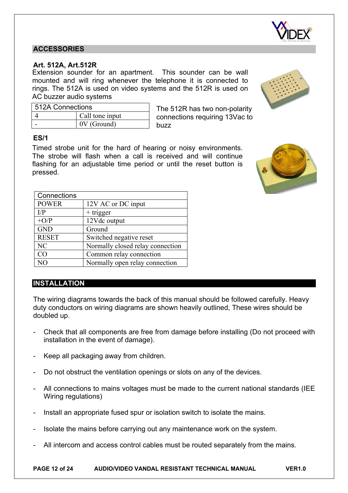### **ACCESSORIES**

#### **Art. 512A, Art.512R**

Extension sounder for an apartment. This sounder can be wall mounted and will ring whenever the telephone it is connected to rings. The 512A is used on video systems and the 512R is used on AC buzzer audio systems

| 512A Connections |             |  |  |
|------------------|-------------|--|--|
| Call tone input  |             |  |  |
|                  | 0V (Ground) |  |  |

The 512R has two non-polarity connections requiring 13Vac to buzz

#### **ES/1**

Timed strobe unit for the hard of hearing or noisy environments. The strobe will flash when a call is received and will continue flashing for an adjustable time period or until the reset button is pressed.

| Connections  |                                  |
|--------------|----------------------------------|
| <b>POWER</b> | 12V AC or DC input               |
| I/P          | $+$ trigger                      |
| $+O/P$       | 12Vdc output                     |
| <b>GND</b>   | Ground                           |
| <b>RESET</b> | Switched negative reset          |
| NC           | Normally closed relay connection |
| CO           | Common relay connection          |
|              | Normally open relay connection   |

# **INSTALLATION**

The wiring diagrams towards the back of this manual should be followed carefully. Heavy duty conductors on wiring diagrams are shown heavily outlined, These wires should be doubled up.

- Check that all components are free from damage before installing (Do not proceed with installation in the event of damage).
- Keep all packaging away from children.
- Do not obstruct the ventilation openings or slots on any of the devices.
- All connections to mains voltages must be made to the current national standards (IEE Wiring regulations)
- Install an appropriate fused spur or isolation switch to isolate the mains.
- Isolate the mains before carrying out any maintenance work on the system.
- All intercom and access control cables must be routed separately from the mains.



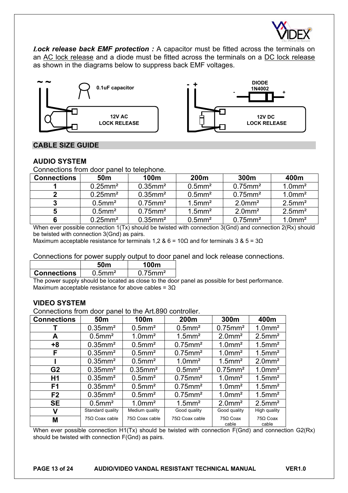

**Lock release back EMF protection :** A capacitor must be fitted across the terminals on an AC lock release and a diode must be fitted across the terminals on a DC lock release as shown in the diagrams below to suppress back EMF voltages.



# **CABLE SIZE GUIDE**

#### **AUDIO SYSTEM**

Connections from door panel to telephone.

| <b>Connections</b> | 50 <sub>m</sub>        | 100m                   | 200 <sub>m</sub>      | 300m                   | 400m                  |
|--------------------|------------------------|------------------------|-----------------------|------------------------|-----------------------|
|                    | $0.25$ mm <sup>2</sup> | $0.35$ mm <sup>2</sup> | $0.5$ mm <sup>2</sup> | $0.75$ mm <sup>2</sup> | $1.0$ mm <sup>2</sup> |
| 2                  | $0.25$ mm <sup>2</sup> | $0.35$ mm <sup>2</sup> | $0.5$ mm <sup>2</sup> | $0.75$ mm <sup>2</sup> | $1.0$ mm <sup>2</sup> |
| 3                  | $0.5$ mm <sup>2</sup>  | $0.75$ mm <sup>2</sup> | $1.5$ mm <sup>2</sup> | $2.0$ mm <sup>2</sup>  | $2.5$ mm <sup>2</sup> |
| 5                  | $0.5$ mm <sup>2</sup>  | $0.75$ mm <sup>2</sup> | $1.5$ mm <sup>2</sup> | $2.0$ mm <sup>2</sup>  | $2.5$ mm <sup>2</sup> |
| 6                  | $0.25$ mm <sup>2</sup> | $0.35$ mm <sup>2</sup> | $0.5$ mm <sup>2</sup> | $0.75$ mm <sup>2</sup> | $1.0$ mm <sup>2</sup> |

When ever possible connection 1(Tx) should be twisted with connection 3(Gnd) and connection 2(Rx) should be twisted with connection 3(Gnd) as pairs.

Maximum acceptable resistance for terminals 1,2 & 6 = 10Ω and for terminals 3 & 5 = 3Ω

#### Connections for power supply output to door panel and lock release connections.

|                    | 50m    | 100m                   |  |
|--------------------|--------|------------------------|--|
| <b>Connections</b> | Ո 5mm² | $0.75$ mm <sup>2</sup> |  |

The power supply should be located as close to the door panel as possible for best performance. Maximum acceptable resistance for above cables =  $3\Omega$ 

# **VIDEO SYSTEM**

Connections from door panel to the Art.890 controller.

| <b>Connections</b> | 50 <sub>m</sub>        | 100m                   | 200m                   | 300m                     | 400m                     |  |  |
|--------------------|------------------------|------------------------|------------------------|--------------------------|--------------------------|--|--|
|                    | $0.35$ mm <sup>2</sup> | $0.5$ mm <sup>2</sup>  | $0.5$ mm <sup>2</sup>  | $0.75$ mm <sup>2</sup>   | $1.0$ mm <sup>2</sup>    |  |  |
| A                  | $0.5$ mm <sup>2</sup>  | $1.0$ mm <sup>2</sup>  | $1.5$ mm <sup>2</sup>  | $2.0$ mm <sup>2</sup>    | $2.5$ mm <sup>2</sup>    |  |  |
| $+8$               | $0.35$ mm <sup>2</sup> | $0.5$ mm <sup>2</sup>  | $0.75$ mm <sup>2</sup> | $1.0$ mm <sup>2</sup>    | $1.5$ mm <sup>2</sup>    |  |  |
| F                  | $0.35$ mm <sup>2</sup> | $0.5$ mm <sup>2</sup>  | $0.75$ mm <sup>2</sup> | $1.0$ mm <sup>2</sup>    | $1.5$ mm <sup>2</sup>    |  |  |
|                    | $0.35$ mm <sup>2</sup> | $0.5$ mm <sup>2</sup>  | $1.0$ mm <sup>2</sup>  | $1.5$ mm <sup>2</sup>    | $2.0$ mm <sup>2</sup>    |  |  |
| G <sub>2</sub>     | $0.35$ mm <sup>2</sup> | $0.35$ mm <sup>2</sup> | $0.5$ mm <sup>2</sup>  | $0.75$ mm <sup>2</sup>   | $1.0$ mm <sup>2</sup>    |  |  |
| H1                 | $0.35$ mm <sup>2</sup> | $0.5$ mm <sup>2</sup>  | $0.75$ mm <sup>2</sup> | $1.0$ mm <sup>2</sup>    | $1.5$ mm <sup>2</sup>    |  |  |
| F <sub>1</sub>     | $0.35$ mm <sup>2</sup> | $0.5$ mm <sup>2</sup>  | $0.75$ mm <sup>2</sup> | $1.0$ mm <sup>2</sup>    | $1.5$ mm <sup>2</sup>    |  |  |
| F <sub>2</sub>     | $0.35$ mm <sup>2</sup> | $0.5$ mm <sup>2</sup>  | $0.75$ mm <sup>2</sup> | $1.0$ mm <sup>2</sup>    | $1.5$ mm <sup>2</sup>    |  |  |
| <b>SE</b>          | $0.5$ mm <sup>2</sup>  | $1.0$ mm <sup>2</sup>  | $1.5$ mm <sup>2</sup>  | $2.0$ mm <sup>2</sup>    | $2.5$ mm <sup>2</sup>    |  |  |
| ν                  | Standard quality       | Medium quality         | Good quality           | Good quality             | High quality             |  |  |
| M                  | 75Ω Coax cable         | $75\Omega$ Coax cable  | $75\Omega$ Coax cable  | $75\Omega$ Coax<br>cable | $75\Omega$ Coax<br>cable |  |  |

When ever possible connection H1(Tx) should be twisted with connection F(Gnd) and connection G2(Rx) should be twisted with connection F(Gnd) as pairs.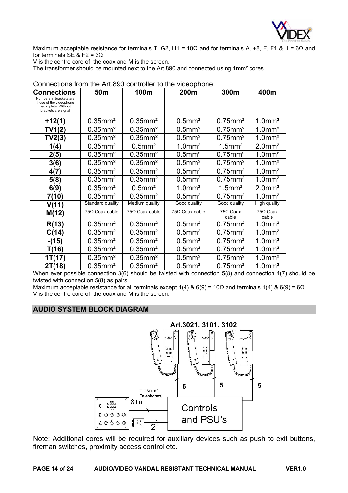

Maximum acceptable resistance for terminals T, G2, H1 = 10 $\Omega$  and for terminals A, +8, F, F1 & I = 6 $\Omega$  and for terminals SE & F2 =  $3\Omega$ 

V is the centre core of the coax and M is the screen.

The transformer should be mounted next to the Art.890 and connected using 1mm² cores

| <b>Connections</b>                                 | 50 <sub>m</sub>        | 100m                   | outmouth is monitory att.opp controller to the videophone.<br>200m | 300m                     | 400m                     |
|----------------------------------------------------|------------------------|------------------------|--------------------------------------------------------------------|--------------------------|--------------------------|
| Numbers in brackets are<br>those of the videophone |                        |                        |                                                                    |                          |                          |
| back plate. Without<br>brackets are signal         |                        |                        |                                                                    |                          |                          |
| $+12(1)$                                           | $0.35$ mm <sup>2</sup> | $0.35$ mm <sup>2</sup> | $0.5$ mm <sup>2</sup>                                              | $0.75$ mm <sup>2</sup>   | $1.0$ mm <sup>2</sup>    |
|                                                    | $0.35$ mm <sup>2</sup> | $0.35$ mm <sup>2</sup> | $0.5$ mm <sup>2</sup>                                              | $0.75$ mm <sup>2</sup>   | $1.0$ mm <sup>2</sup>    |
| <b>TV1(2)</b>                                      |                        |                        |                                                                    |                          |                          |
| TV2(3)                                             | $0.35$ mm <sup>2</sup> | $0.35$ mm <sup>2</sup> | $0.5$ mm <sup>2</sup>                                              | $0.75$ mm <sup>2</sup>   | $1.0$ mm <sup>2</sup>    |
| 1(4)                                               | $0.35$ mm <sup>2</sup> | $0.5$ mm <sup>2</sup>  | $1.0$ mm <sup>2</sup>                                              | $1.5$ mm <sup>2</sup>    | $2.0$ mm <sup>2</sup>    |
| 2(5)                                               | $0.35$ mm <sup>2</sup> | $0.35$ mm <sup>2</sup> | $0.5$ mm <sup>2</sup>                                              | $0.75$ mm <sup>2</sup>   | $1.0$ mm <sup>2</sup>    |
| 3(6)                                               | $0.35$ mm <sup>2</sup> | $0.35$ mm <sup>2</sup> | $0.5$ mm <sup>2</sup>                                              | $0.75$ mm <sup>2</sup>   | $1.0$ mm <sup>2</sup>    |
| 4(7)                                               | $0.35$ mm <sup>2</sup> | $0.35$ mm <sup>2</sup> | $0.5$ mm <sup>2</sup>                                              | $0.75$ mm <sup>2</sup>   | $1.0$ mm <sup>2</sup>    |
| 5(8)                                               | $0.35$ mm <sup>2</sup> | $0.35$ mm <sup>2</sup> | $0.5$ mm <sup>2</sup>                                              | $0.75$ mm <sup>2</sup>   | $1.0$ mm <sup>2</sup>    |
| 6(9)                                               | $0.35$ mm <sup>2</sup> | $0.5$ mm <sup>2</sup>  | $1.0$ mm <sup>2</sup>                                              | $1.5$ mm <sup>2</sup>    | $2.0$ mm <sup>2</sup>    |
| 7(10)                                              | $0.35$ mm <sup>2</sup> | $0.35$ mm <sup>2</sup> | $0.5$ mm <sup>2</sup>                                              | $0.75$ mm <sup>2</sup>   | $1.0$ mm <sup>2</sup>    |
| V(11)                                              | Standard quality       | <b>Medium</b> quality  | Good quality                                                       | Good quality             | <b>High quality</b>      |
| M(12)                                              | $75\Omega$ Coax cable  | $75\Omega$ Coax cable  | 75Ω Coax cable                                                     | $75\Omega$ Coax<br>cable | $75\Omega$ Coax<br>cable |
| R(13)                                              | $0.35$ mm <sup>2</sup> | $0.35$ mm <sup>2</sup> | $0.5$ mm <sup>2</sup>                                              | $0.75$ mm <sup>2</sup>   | $1.0$ mm <sup>2</sup>    |
| C(14)                                              | $0.35$ mm <sup>2</sup> | $0.35$ mm <sup>2</sup> | $0.5$ mm <sup>2</sup>                                              | $0.75$ mm <sup>2</sup>   | $1.0$ mm <sup>2</sup>    |
| $-(15)$                                            | $0.35$ mm <sup>2</sup> | $0.35$ mm <sup>2</sup> | $0.5$ mm <sup>2</sup>                                              | $0.75$ mm <sup>2</sup>   | $1.0$ mm <sup>2</sup>    |
| T(16)                                              | $0.35$ mm <sup>2</sup> | $0.35$ mm <sup>2</sup> | $0.5$ mm <sup>2</sup>                                              | $0.75$ mm <sup>2</sup>   | $1.0$ mm <sup>2</sup>    |
| 1T(17)                                             | $0.35$ mm <sup>2</sup> | $0.35$ mm <sup>2</sup> | $0.5$ mm <sup>2</sup>                                              | $0.75$ mm <sup>2</sup>   | $1.0$ mm <sup>2</sup>    |
| 2T(18)                                             | $0.35$ mm <sup>2</sup> | $0.35$ mm <sup>2</sup> | $0.5$ mm <sup>2</sup>                                              | $0.75$ mm <sup>2</sup>   | $1.0$ mm <sup>2</sup>    |

Connections from the Art.890 controller to the videophone.

When ever possible connection 3(6) should be twisted with connection 5(8) and connection 4(7) should be twisted with connection 5(8) as pairs.

Maximum acceptable resistance for all terminals except 1(4) & 6(9) = 10 $\Omega$  and terminals 1(4) & 6(9) = 6 $\Omega$ V is the centre core of the coax and M is the screen.

#### **AUDIO SYSTEM BLOCK DIAGRAM**



Note: Additional cores will be required for auxiliary devices such as push to exit buttons, fireman switches, proximity access control etc.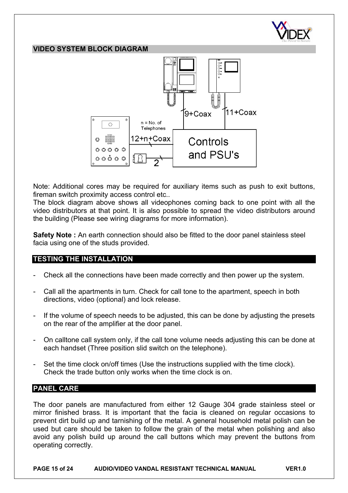

#### **VIDEO SYSTEM BLOCK DIAGRAM**



Note: Additional cores may be required for auxiliary items such as push to exit buttons, fireman switch proximity access control etc..

The block diagram above shows all videophones coming back to one point with all the video distributors at that point. It is also possible to spread the video distributors around the building (Please see wiring diagrams for more information).

**Safety Note :** An earth connection should also be fitted to the door panel stainless steel facia using one of the studs provided.

# **TESTING THE INSTALLATION**

- Check all the connections have been made correctly and then power up the system.
- Call all the apartments in turn. Check for call tone to the apartment, speech in both directions, video (optional) and lock release.
- If the volume of speech needs to be adjusted, this can be done by adjusting the presets on the rear of the amplifier at the door panel.
- On calltone call system only, if the call tone volume needs adjusting this can be done at each handset (Three position slid switch on the telephone).
- Set the time clock on/off times (Use the instructions supplied with the time clock). Check the trade button only works when the time clock is on.

#### **PANEL CARE**

The door panels are manufactured from either 12 Gauge 304 grade stainless steel or mirror finished brass. It is important that the facia is cleaned on regular occasions to prevent dirt build up and tarnishing of the metal. A general household metal polish can be used but care should be taken to follow the grain of the metal when polishing and also avoid any polish build up around the call buttons which may prevent the buttons from operating correctly.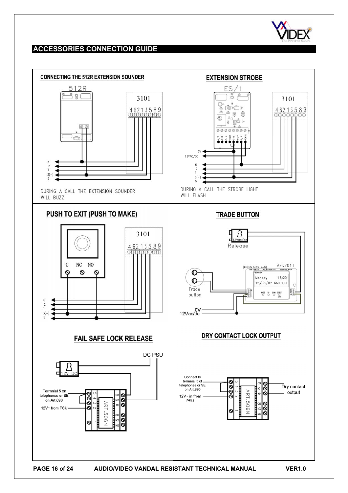

# **ACCESSORIES CONNECTION GUIDE**

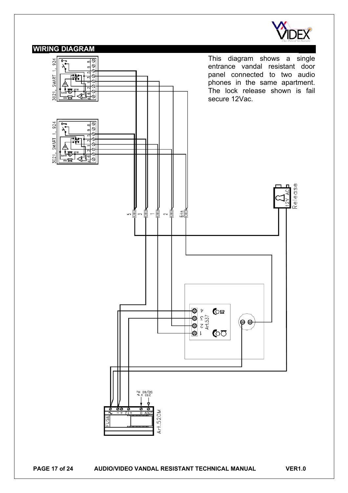

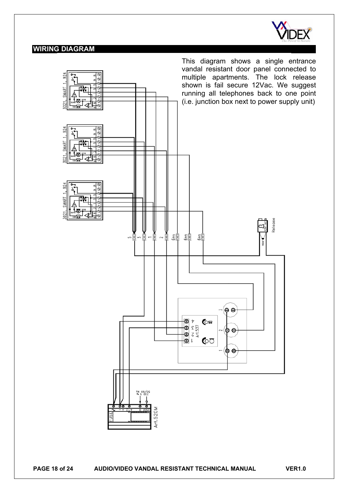# **WIRING DIAGRAM**



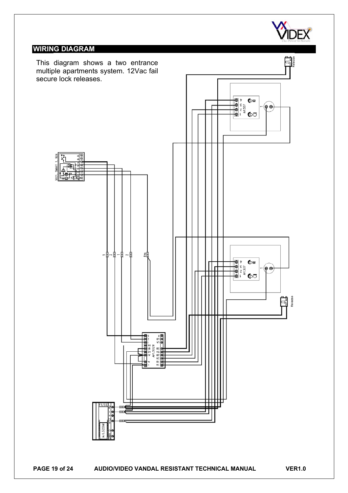

# **WIRING DIAGRAM**

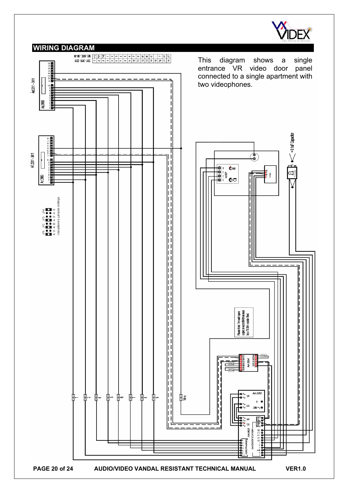

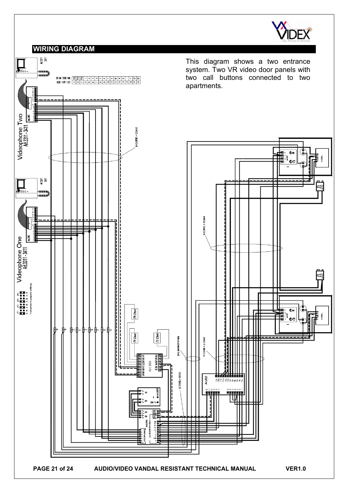

# **WIRING DIAGRAM**

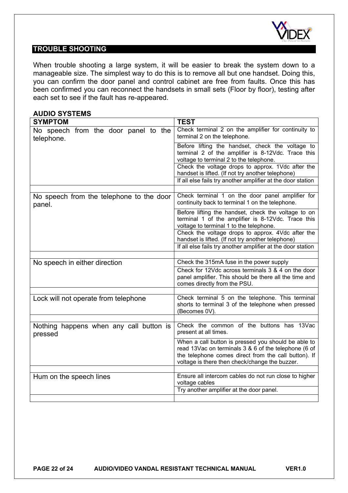

# **TROUBLE SHOOTING**

When trouble shooting a large system, it will be easier to break the system down to a manageable size. The simplest way to do this is to remove all but one handset. Doing this, you can confirm the door panel and control cabinet are free from faults. Once this has been confirmed you can reconnect the handsets in small sets (Floor by floor), testing after each set to see if the fault has re-appeared.

| <b>AUDIO SYSTEMS</b>                               |                                                                                                                                                                                                                                                                                                                               |  |  |  |
|----------------------------------------------------|-------------------------------------------------------------------------------------------------------------------------------------------------------------------------------------------------------------------------------------------------------------------------------------------------------------------------------|--|--|--|
| <b>SYMPTOM</b>                                     | <b>TEST</b>                                                                                                                                                                                                                                                                                                                   |  |  |  |
| No speech from the door panel to the<br>telephone. | Check terminal 2 on the amplifier for continuity to<br>terminal 2 on the telephone.                                                                                                                                                                                                                                           |  |  |  |
|                                                    | Before lifting the handset, check the voltage to<br>terminal 2 of the amplifier is 8-12Vdc. Trace this<br>voltage to terminal 2 to the telephone.<br>Check the voltage drops to approx. 1Vdc after the<br>handset is lifted. (If not try another telephone)<br>If all else fails try another amplifier at the door station    |  |  |  |
| No speech from the telephone to the door<br>panel. | Check terminal 1 on the door panel amplifier for<br>continuity back to terminal 1 on the telephone.                                                                                                                                                                                                                           |  |  |  |
|                                                    | Before lifting the handset, check the voltage to on<br>terminal 1 of the amplifier is 8-12Vdc. Trace this<br>voltage to terminal 1 to the telephone.<br>Check the voltage drops to approx. 4Vdc after the<br>handset is lifted. (If not try another telephone)<br>If all else fails try another amplifier at the door station |  |  |  |
|                                                    |                                                                                                                                                                                                                                                                                                                               |  |  |  |
| No speech in either direction                      | Check the 315mA fuse in the power supply                                                                                                                                                                                                                                                                                      |  |  |  |
|                                                    | Check for 12Vdc across terminals 3 & 4 on the door<br>panel amplifier. This should be there all the time and<br>comes directly from the PSU.                                                                                                                                                                                  |  |  |  |
|                                                    |                                                                                                                                                                                                                                                                                                                               |  |  |  |
| Lock will not operate from telephone               | Check terminal 5 on the telephone. This terminal<br>shorts to terminal 3 of the telephone when pressed<br>(Becomes 0V).                                                                                                                                                                                                       |  |  |  |
|                                                    |                                                                                                                                                                                                                                                                                                                               |  |  |  |
| Nothing happens when any call button is<br>pressed | Check the common of the buttons has 13Vac<br>present at all times.                                                                                                                                                                                                                                                            |  |  |  |
|                                                    | When a call button is pressed you should be able to<br>read 13Vac on terminals 3 & 6 of the telephone (6 of<br>the telephone comes direct from the call button). If<br>voltage is there then check/change the buzzer.                                                                                                         |  |  |  |
|                                                    |                                                                                                                                                                                                                                                                                                                               |  |  |  |
| Hum on the speech lines                            | Ensure all intercom cables do not run close to higher<br>voltage cables                                                                                                                                                                                                                                                       |  |  |  |
|                                                    | Try another amplifier at the door panel.                                                                                                                                                                                                                                                                                      |  |  |  |
|                                                    |                                                                                                                                                                                                                                                                                                                               |  |  |  |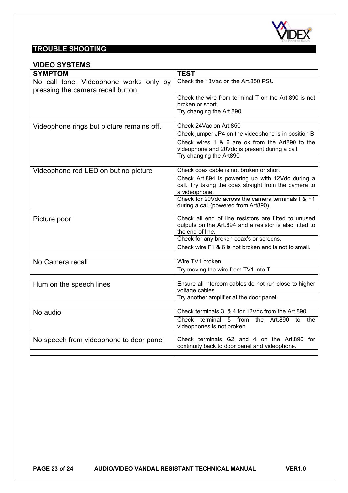

# **TROUBLE SHOOTING**

#### **VIDEO SYSTEMS**

| <b>SYMPTOM</b>                                                               | <b>TEST</b>                                                                                                                         |  |  |
|------------------------------------------------------------------------------|-------------------------------------------------------------------------------------------------------------------------------------|--|--|
| No call tone, Videophone works only by<br>pressing the camera recall button. | Check the 13Vac on the Art.850 PSU                                                                                                  |  |  |
|                                                                              | Check the wire from terminal T on the Art.890 is not<br>broken or short.                                                            |  |  |
|                                                                              | Try changing the Art.890                                                                                                            |  |  |
| Videophone rings but picture remains off.                                    | Check 24Vac on Art.850                                                                                                              |  |  |
|                                                                              | Check jumper JP4 on the videophone is in position B                                                                                 |  |  |
|                                                                              | Check wires 1 & 6 are ok from the Art890 to the<br>videophone and 20Vdc is present during a call.                                   |  |  |
|                                                                              | Try changing the Art890                                                                                                             |  |  |
| Videophone red LED on but no picture                                         | Check coax cable is not broken or short                                                                                             |  |  |
|                                                                              | Check Art.894 is powering up with 12Vdc during a<br>call. Try taking the coax straight from the camera to<br>a videophone.          |  |  |
|                                                                              | Check for 20Vdc across the camera terminals I & F1<br>during a call (powered from Art890)                                           |  |  |
| Picture poor                                                                 | Check all end of line resistors are fitted to unused<br>outputs on the Art.894 and a resistor is also fitted to<br>the end of line. |  |  |
|                                                                              | Check for any broken coax's or screens.                                                                                             |  |  |
|                                                                              | Check wire F1 & 6 is not broken and is not to small.                                                                                |  |  |
| No Camera recall                                                             | Wire TV1 broken                                                                                                                     |  |  |
|                                                                              | Try moving the wire from TV1 into T                                                                                                 |  |  |
| Hum on the speech lines                                                      | Ensure all intercom cables do not run close to higher<br>voltage cables                                                             |  |  |
|                                                                              | Try another amplifier at the door panel.                                                                                            |  |  |
| No audio                                                                     | Check terminals 3 & 4 for 12Vdc from the Art.890                                                                                    |  |  |
|                                                                              | Check terminal<br>5 <sup>1</sup><br>from<br>the<br>Art.890<br>to<br>the<br>videophones is not broken.                               |  |  |
| No speech from videophone to door panel                                      | Check terminals G2 and 4 on the Art.890 for<br>continuity back to door panel and videophone.                                        |  |  |
|                                                                              |                                                                                                                                     |  |  |